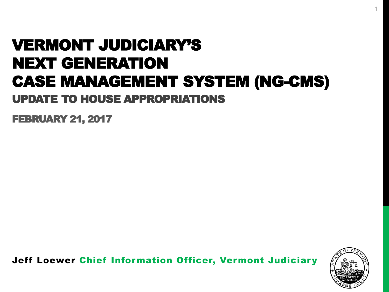## VERMONT JUDICIARY'S NEXT GENERATION CASE MANAGEMENT SYSTEM (NG-CMS) UPDATE TO HOUSE APPROPRIATIONS

FEBRUARY 21, 2017

Jeff Loewer Chief Information Officer, Vermont Judiciary

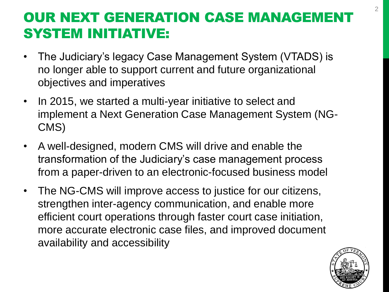### OUR NEXT GENERATION CASE MANAGEMENT SYSTEM INITIATIVE:

- The Judiciary's legacy Case Management System (VTADS) is no longer able to support current and future organizational objectives and imperatives
- In 2015, we started a multi-year initiative to select and implement a Next Generation Case Management System (NG-CMS)
- A well-designed, modern CMS will drive and enable the transformation of the Judiciary's case management process from a paper-driven to an electronic-focused business model
- The NG-CMS will improve access to justice for our citizens, strengthen inter-agency communication, and enable more efficient court operations through faster court case initiation, more accurate electronic case files, and improved document availability and accessibility

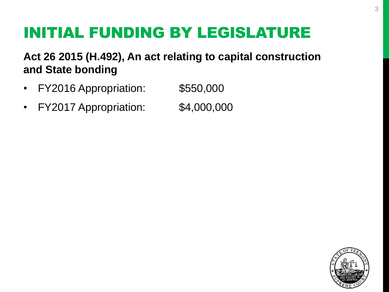# INITIAL FUNDING BY LEGISLATURE

**Act 26 2015 (H.492), An act relating to capital construction and State bonding**

- FY2016 Appropriation: \$550,000
- FY2017 Appropriation: \$4,000,000

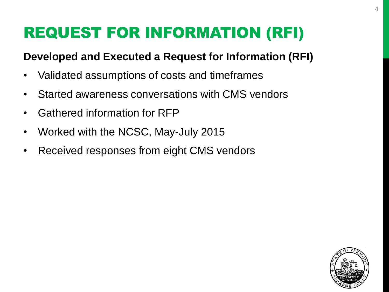# REQUEST FOR INFORMATION (RFI)

### **Developed and Executed a Request for Information (RFI)**

- Validated assumptions of costs and timeframes
- Started awareness conversations with CMS vendors
- Gathered information for RFP
- Worked with the NCSC, May-July 2015
- Received responses from eight CMS vendors

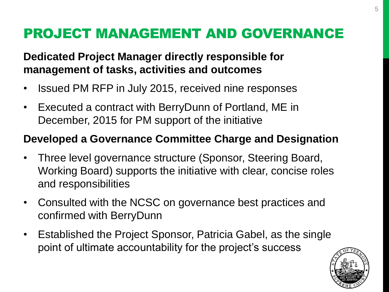### PROJECT MANAGEMENT AND GOVERNANCE

### **Dedicated Project Manager directly responsible for management of tasks, activities and outcomes**

- Issued PM RFP in July 2015, received nine responses
- Executed a contract with BerryDunn of Portland, ME in December, 2015 for PM support of the initiative

#### **Developed a Governance Committee Charge and Designation**

- Three level governance structure (Sponsor, Steering Board, Working Board) supports the initiative with clear, concise roles and responsibilities
- Consulted with the NCSC on governance best practices and confirmed with BerryDunn
- Established the Project Sponsor, Patricia Gabel, as the single point of ultimate accountability for the project's success

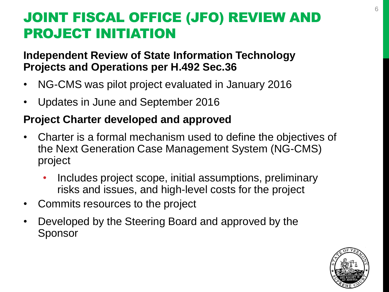## JOINT FISCAL OFFICE (JFO) REVIEW AND PROJECT INITIATION

#### **Independent Review of State Information Technology Projects and Operations per H.492 Sec.36**

- NG-CMS was pilot project evaluated in January 2016
- Updates in June and September 2016

### **Project Charter developed and approved**

- Charter is a formal mechanism used to define the objectives of the Next Generation Case Management System (NG-CMS) project
	- Includes project scope, initial assumptions, preliminary risks and issues, and high-level costs for the project
- Commits resources to the project
- Developed by the Steering Board and approved by the Sponsor

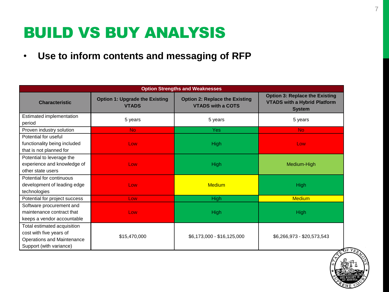## BUILD VS BUY ANALYSIS

• **Use to inform contents and messaging of RFP** 

| <b>Option Strengths and Weaknesses</b>                                                                          |                                                       |                                                                   |                                                                                               |
|-----------------------------------------------------------------------------------------------------------------|-------------------------------------------------------|-------------------------------------------------------------------|-----------------------------------------------------------------------------------------------|
| <b>Characteristic</b>                                                                                           | <b>Option 1: Upgrade the Existing</b><br><b>VTADS</b> | <b>Option 2: Replace the Existing</b><br><b>VTADS with a COTS</b> | <b>Option 3: Replace the Existing</b><br><b>VTADS with a Hybrid Platform</b><br><b>System</b> |
| Estimated implementation<br>period                                                                              | 5 years                                               | 5 years                                                           | 5 years                                                                                       |
| Proven industry solution                                                                                        | No.                                                   | Yes:                                                              | <b>No</b>                                                                                     |
| Potential for useful<br>functionality being included<br>that is not planned for                                 | Low                                                   | <b>High</b>                                                       | Low                                                                                           |
| Potential to leverage the<br>experience and knowledge of<br>other state users                                   | Low                                                   | <b>High</b>                                                       | Medium-High                                                                                   |
| Potential for continuous<br>development of leading edge<br>technologies                                         | Low                                                   | <b>Medium</b>                                                     | <b>High</b>                                                                                   |
| Potential for project success                                                                                   | Low                                                   | High                                                              | <b>Medium</b>                                                                                 |
| Software procurement and<br>maintenance contract that<br>keeps a vendor accountable                             | Low                                                   | <b>High</b>                                                       | <b>High</b>                                                                                   |
| Total estimated acquisition<br>cost with five years of<br>Operations and Maintenance<br>Support (with variance) | \$15,470,000                                          | \$6,173,000 - \$16,125,000                                        | \$6,266,973 - \$20,573,543                                                                    |

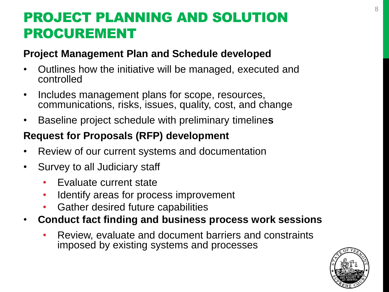### PROJECT PLANNING AND SOLUTION PROCUREMENT

#### **Project Management Plan and Schedule developed**

- Outlines how the initiative will be managed, executed and controlled
- Includes management plans for scope, resources, communications, risks, issues, quality, cost, and change
- Baseline project schedule with preliminary timeline**s**

### **Request for Proposals (RFP) development**

- Review of our current systems and documentation
- Survey to all Judiciary staff
	- Evaluate current state
	- Identify areas for process improvement
	- Gather desired future capabilities
- **Conduct fact finding and business process work sessions**
	- Review, evaluate and document barriers and constraints imposed by existing systems and processes

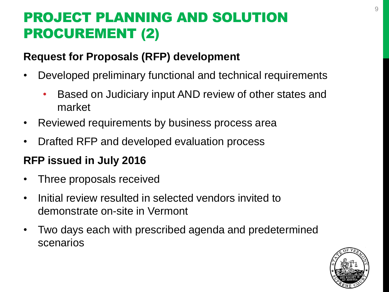## PROJECT PLANNING AND SOLUTION PROCUREMENT (2)

#### **Request for Proposals (RFP) development**

- Developed preliminary functional and technical requirements
	- Based on Judiciary input AND review of other states and market
- Reviewed requirements by business process area
- Drafted RFP and developed evaluation process

### **RFP issued in July 2016**

- Three proposals received
- Initial review resulted in selected vendors invited to demonstrate on-site in Vermont
- Two days each with prescribed agenda and predetermined scenarios

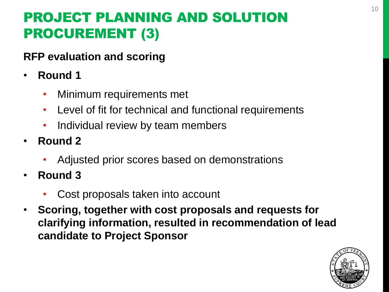## PROJECT PLANNING AND SOLUTION PROCUREMENT (3)

### **RFP evaluation and scoring**

- **Round 1**
	- Minimum requirements met
	- Level of fit for technical and functional requirements
	- Individual review by team members
- **Round 2**
	- Adjusted prior scores based on demonstrations
- **Round 3**
	- Cost proposals taken into account
- **Scoring, together with cost proposals and requests for clarifying information, resulted in recommendation of lead candidate to Project Sponsor**

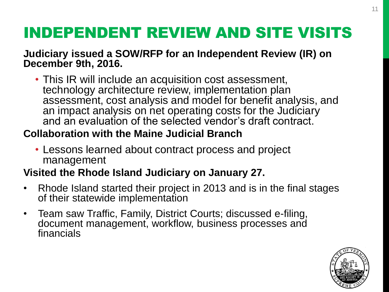# INDEPENDENT REVIEW AND SITE VISITS

**Judiciary issued a SOW/RFP for an Independent Review (IR) on December 9th, 2016.**

• This IR will include an acquisition cost assessment, technology architecture review, implementation plan assessment, cost analysis and model for benefit analysis, and an impact analysis on net operating costs for the Judiciary and an evaluation of the selected vendor's draft contract.

### **Collaboration with the Maine Judicial Branch**

• Lessons learned about contract process and project management

#### **Visited the Rhode Island Judiciary on January 27.**

- Rhode Island started their project in 2013 and is in the final stages of their statewide implementation
- Team saw Traffic, Family, District Courts; discussed e-filing, document management, workflow, business processes and financials

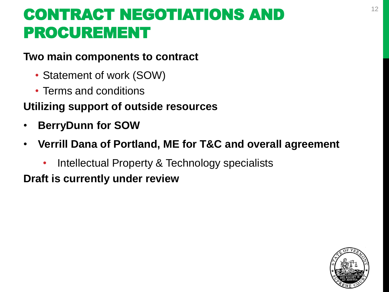# <sup>12</sup> CONTRACT NEGOTIATIONS AND PROCUREMENT

#### **Two main components to contract**

- Statement of work (SOW)
- Terms and conditions

### **Utilizing support of outside resources**

- **BerryDunn for SOW**
- **Verrill Dana of Portland, ME for T&C and overall agreement**
	- Intellectual Property & Technology specialists

**Draft is currently under review**